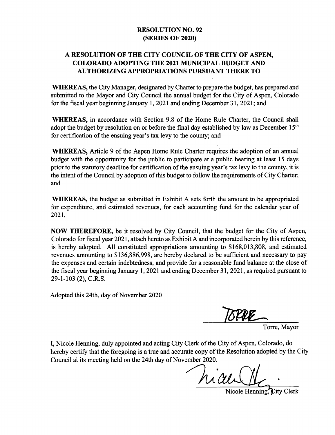## RESOLUTION NO. 92 SERIES OF 2020)

## A RESOLUTION OF THE CITY COUNCIL OF THE CITY OF ASPEN, COLORADO ADOPTING THE 2021 MUNICIPAL BUDGET AND AUTHORIZING APPROPRIATIONS PURSUANT THERE TO

WHEREAS, the City Manager, designated by Charter to prepare the budget, has prepared and submitted to the Mayor and City Council the annual budget for the City of Aspen, Colorado for the fiscal year beginning January 1, 2021 and ending December 31, 2021; and

WHEREAS, in accordance with Section 9.8 of the Home Rule Charter, the Council shall adopt the budget by resolution on or before the final day established by law as December  $15<sup>th</sup>$ for certification of the ensuing year's tax levy to the county; and

WHEREAS, Article 9 of the Aspen Home Rule Charter requires the adoption of an annual budget with the opportunity for the public to participate at a public hearing at least 15 days prior to the statutory deadline for certification of the ensuing year's tax levy to the county, it is the intent of the Council by adoption of this budget to follow the requirements of City Charter; and

WHEREAS, the budget as submitted in Exhibit A sets forth the amount to be appropriated for expenditure, and estimated revenues, for each accounting fund for the calendar year of 2021,

NOW THEREFORE, be it resolved by City Council, that the budget for the City of Aspen, Colorado for fiscal year 2021, attach hereto as Exhibit A and incorporated herein by this reference, is hereby adopted. All constituted appropriations amounting to \$168,013,808, and estimated revenues amounting to \$136,886,998, are hereby declared to be sufficient and necessary to pay the expenses and certain indebtedness, and provide for <sup>a</sup> reasonable fund balance at the close of the fiscal year beginning January 1, 2021 and ending December 31, 2021, as required pursuant to 29-1-103 (2), C.R.S.

Adopted this 24th, day of November 2020

**1874E** 

Torre, Mayor

I, Nicole Henning, duly appointed and acting City Clerk of the City of Aspen, Colorado, do hereby certify that the foregoing is a true and accurate copy of the Resolution adopted by the City Council at its meeting held on the 24th day of November 2020.

hicult

Nicole Henning.